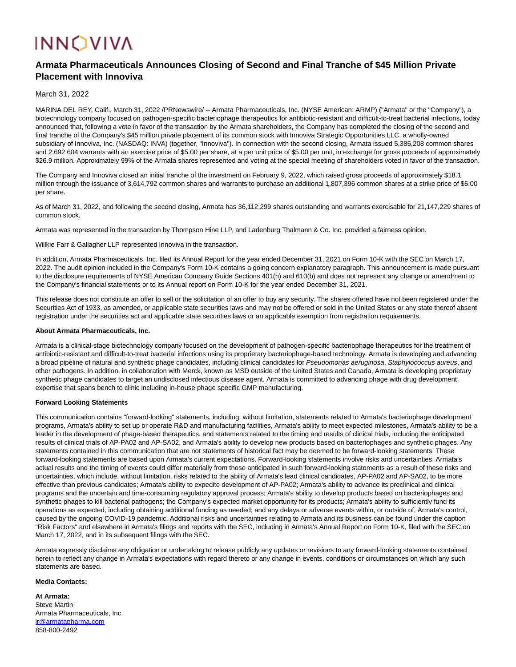# **INNOVIVA**

# **Armata Pharmaceuticals Announces Closing of Second and Final Tranche of \$45 Million Private Placement with Innoviva**

March 31, 2022

MARINA DEL REY, Calif., March 31, 2022 /PRNewswire/ -- Armata Pharmaceuticals, Inc. (NYSE American: ARMP) ("Armata" or the "Company"), a biotechnology company focused on pathogen-specific bacteriophage therapeutics for antibiotic-resistant and difficult-to-treat bacterial infections, today announced that, following a vote in favor of the transaction by the Armata shareholders, the Company has completed the closing of the second and final tranche of the Company's \$45 million private placement of its common stock with Innoviva Strategic Opportunities LLC, a wholly-owned subsidiary of Innoviva, Inc. (NASDAQ: INVA) (together, "Innoviva"). In connection with the second closing, Armata issued 5,385,208 common shares and 2,692,604 warrants with an exercise price of \$5.00 per share, at a per unit price of \$5.00 per unit, in exchange for gross proceeds of approximately \$26.9 million. Approximately 99% of the Armata shares represented and voting at the special meeting of shareholders voted in favor of the transaction.

The Company and Innoviva closed an initial tranche of the investment on February 9, 2022, which raised gross proceeds of approximately \$18.1 million through the issuance of 3,614,792 common shares and warrants to purchase an additional 1,807,396 common shares at a strike price of \$5.00 per share.

As of March 31, 2022, and following the second closing, Armata has 36,112,299 shares outstanding and warrants exercisable for 21,147,229 shares of common stock.

Armata was represented in the transaction by Thompson Hine LLP, and Ladenburg Thalmann & Co. Inc. provided a fairness opinion.

Willkie Farr & Gallagher LLP represented Innoviva in the transaction.

In addition, Armata Pharmaceuticals, Inc. filed its Annual Report for the year ended December 31, 2021 on Form 10-K with the SEC on March 17, 2022. The audit opinion included in the Company's Form 10-K contains a going concern explanatory paragraph. This announcement is made pursuant to the disclosure requirements of NYSE American Company Guide Sections 401(h) and 610(b) and does not represent any change or amendment to the Company's financial statements or to its Annual report on Form 10-K for the year ended December 31, 2021.

This release does not constitute an offer to sell or the solicitation of an offer to buy any security. The shares offered have not been registered under the Securities Act of 1933, as amended, or applicable state securities laws and may not be offered or sold in the United States or any state thereof absent registration under the securities act and applicable state securities laws or an applicable exemption from registration requirements.

#### **About Armata Pharmaceuticals, Inc.**

Armata is a clinical-stage biotechnology company focused on the development of pathogen-specific bacteriophage therapeutics for the treatment of antibiotic-resistant and difficult-to-treat bacterial infections using its proprietary bacteriophage-based technology. Armata is developing and advancing a broad pipeline of natural and synthetic phage candidates, including clinical candidates for Pseudomonas aeruginosa, Staphylococcus aureus, and other pathogens. In addition, in collaboration with Merck, known as MSD outside of the United States and Canada, Armata is developing proprietary synthetic phage candidates to target an undisclosed infectious disease agent. Armata is committed to advancing phage with drug development expertise that spans bench to clinic including in-house phage specific GMP manufacturing.

## **Forward Looking Statements**

This communication contains "forward-looking" statements, including, without limitation, statements related to Armata's bacteriophage development programs, Armata's ability to set up or operate R&D and manufacturing facilities, Armata's ability to meet expected milestones, Armata's ability to be a leader in the development of phage-based therapeutics, and statements related to the timing and results of clinical trials, including the anticipated results of clinical trials of AP-PA02 and AP-SA02, and Armata's ability to develop new products based on bacteriophages and synthetic phages. Any statements contained in this communication that are not statements of historical fact may be deemed to be forward-looking statements. These forward-looking statements are based upon Armata's current expectations. Forward-looking statements involve risks and uncertainties. Armata's actual results and the timing of events could differ materially from those anticipated in such forward-looking statements as a result of these risks and uncertainties, which include, without limitation, risks related to the ability of Armata's lead clinical candidates, AP-PA02 and AP-SA02, to be more effective than previous candidates; Armata's ability to expedite development of AP-PA02; Armata's ability to advance its preclinical and clinical programs and the uncertain and time-consuming regulatory approval process; Armata's ability to develop products based on bacteriophages and synthetic phages to kill bacterial pathogens; the Company's expected market opportunity for its products; Armata's ability to sufficiently fund its operations as expected, including obtaining additional funding as needed; and any delays or adverse events within, or outside of, Armata's control, caused by the ongoing COVID-19 pandemic. Additional risks and uncertainties relating to Armata and its business can be found under the caption "Risk Factors" and elsewhere in Armata's filings and reports with the SEC, including in Armata's Annual Report on Form 10-K, filed with the SEC on March 17, 2022, and in its subsequent filings with the SEC.

Armata expressly disclaims any obligation or undertaking to release publicly any updates or revisions to any forward-looking statements contained herein to reflect any change in Armata's expectations with regard thereto or any change in events, conditions or circumstances on which any such statements are based.

## **Media Contacts:**

**At Armata:** Steve Martin Armata Pharmaceuticals, Inc. [ir@armatapharma.com](mailto:ir@armatapharma.com) 858-800-2492